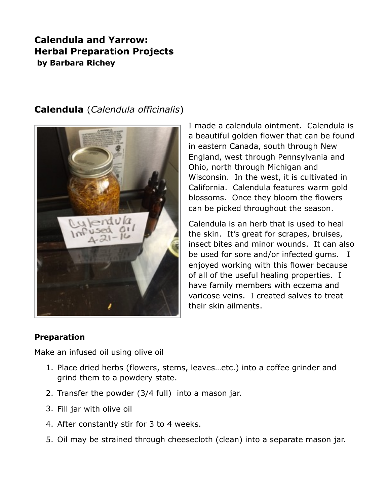# **Calendula and Yarrow: Herbal Preparation Projects by Barbara Richey**



## **Calendula** (*Calendula officinalis*)

I made a calendula ointment. Calendula is a beautiful golden flower that can be found in eastern Canada, south through New England, west through Pennsylvania and Ohio, north through Michigan and Wisconsin. In the west, it is cultivated in California. Calendula features warm gold blossoms. Once they bloom the flowers can be picked throughout the season.

Calendula is an herb that is used to heal the skin. It's great for scrapes, bruises, insect bites and minor wounds. It can also be used for sore and/or infected gums. I enjoyed working with this flower because of all of the useful healing properties. I have family members with eczema and varicose veins. I created salves to treat their skin ailments.

### **Preparation**

Make an infused oil using olive oil

- 1. Place dried herbs (flowers, stems, leaves…etc.) into a coffee grinder and grind them to a powdery state.
- 2. Transfer the powder (3/4 full) into a mason jar.
- 3. Fill jar with olive oil
- 4. After constantly stir for 3 to 4 weeks.
- 5. Oil may be strained through cheesecloth (clean) into a separate mason jar.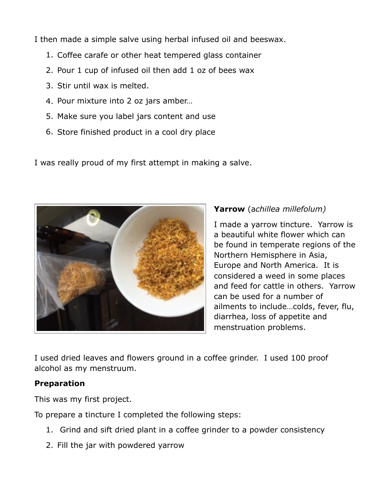I then made a simple salve using herbal infused oil and beeswax.

- 1. Coffee carafe or other heat tempered glass container
- 2. Pour 1 cup of infused oil then add 1 oz of bees wax
- 3. Stir until wax is melted.
- 4. Pour mixture into 2 oz jars amber…
- 5. Make sure you label jars content and use
- 6. Store finished product in a cool dry place

I was really proud of my first attempt in making a salve.



## **Yarrow** (a*chillea millefolum)*

I made a yarrow tincture. Yarrow is a beautiful white flower which can be found in temperate regions of the Northern Hemisphere in Asia, Europe and North America. It is considered a weed in some places and feed for cattle in others. Yarrow can be used for a number of ailments to include…colds, fever, flu, diarrhea, loss of appetite and menstruation problems.

I used dried leaves and flowers ground in a coffee grinder. I used 100 proof alcohol as my menstruum.

## **Preparation**

This was my first project.

To prepare a tincture I completed the following steps:

- 1. Grind and sift dried plant in a coffee grinder to a powder consistency
- 2. Fill the jar with powdered yarrow